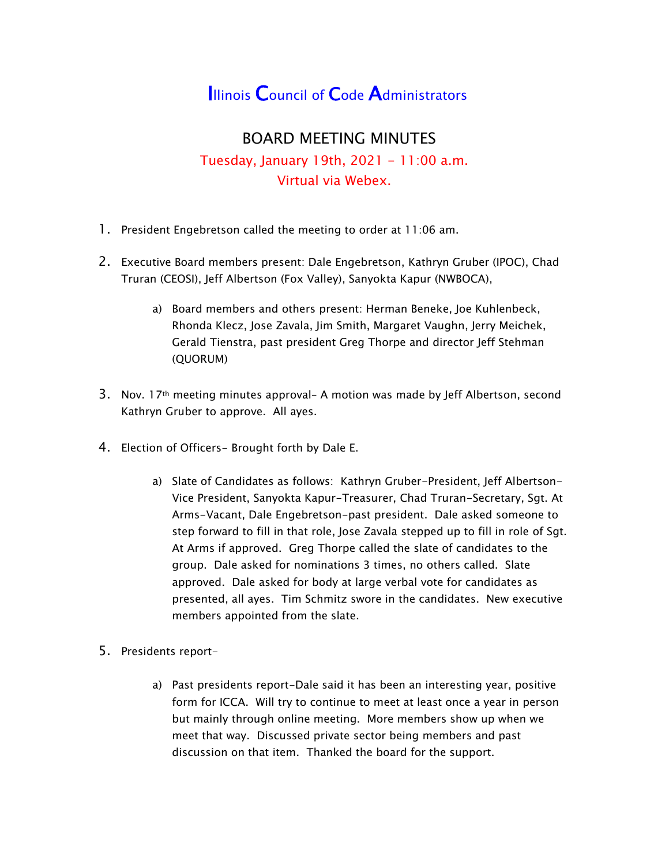## **Illinois Council of Code Administrators**

## BOARD MEETING MINUTES Tuesday, January 19th, 2021 - 11:00 a.m. Virtual via Webex.

- 1. President Engebretson called the meeting to order at 11:06 am.
- 2. Executive Board members present: Dale Engebretson, Kathryn Gruber (IPOC), Chad Truran (CEOSI), Jeff Albertson (Fox Valley), Sanyokta Kapur (NWBOCA),
	- a) Board members and others present: Herman Beneke, Joe Kuhlenbeck, Rhonda Klecz, Jose Zavala, Jim Smith, Margaret Vaughn, Jerry Meichek, Gerald Tienstra, past president Greg Thorpe and director Jeff Stehman (QUORUM)
- 3. Nov. 17th meeting minutes approval– A motion was made by Jeff Albertson, second Kathryn Gruber to approve. All ayes.
- 4. Election of Officers- Brought forth by Dale E.
	- a) Slate of Candidates as follows: Kathryn Gruber-President, Jeff Albertson-Vice President, Sanyokta Kapur-Treasurer, Chad Truran-Secretary, Sgt. At Arms-Vacant, Dale Engebretson-past president. Dale asked someone to step forward to fill in that role, Jose Zavala stepped up to fill in role of Sgt. At Arms if approved. Greg Thorpe called the slate of candidates to the group. Dale asked for nominations 3 times, no others called. Slate approved. Dale asked for body at large verbal vote for candidates as presented, all ayes. Tim Schmitz swore in the candidates. New executive members appointed from the slate.
- 5. Presidents report
	- a) Past presidents report-Dale said it has been an interesting year, positive form for ICCA. Will try to continue to meet at least once a year in person but mainly through online meeting. More members show up when we meet that way. Discussed private sector being members and past discussion on that item. Thanked the board for the support.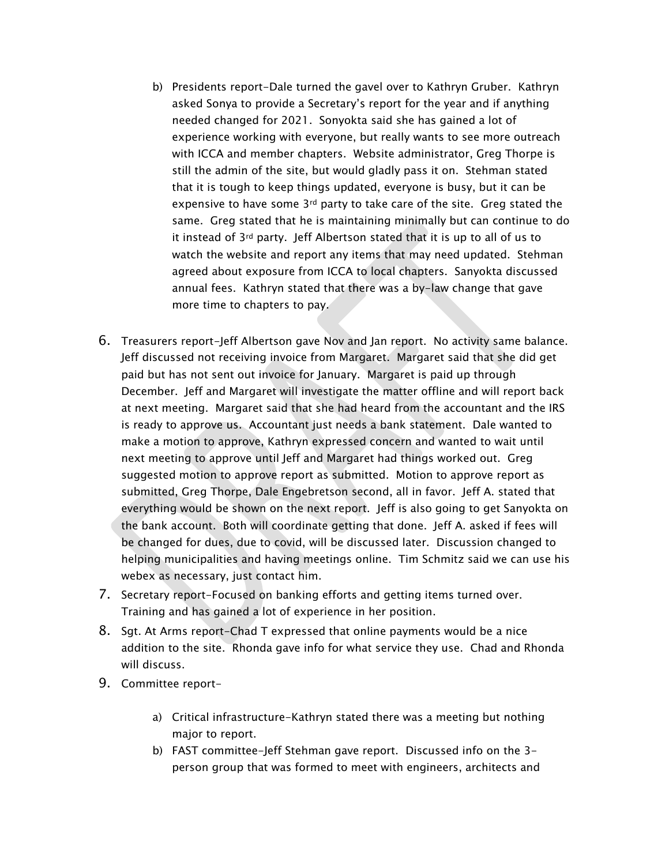- b) Presidents report-Dale turned the gavel over to Kathryn Gruber. Kathryn asked Sonya to provide a Secretary's report for the year and if anything needed changed for 2021. Sonyokta said she has gained a lot of experience working with everyone, but really wants to see more outreach with ICCA and member chapters. Website administrator, Greg Thorpe is still the admin of the site, but would gladly pass it on. Stehman stated that it is tough to keep things updated, everyone is busy, but it can be expensive to have some 3rd party to take care of the site. Greg stated the same. Greg stated that he is maintaining minimally but can continue to do it instead of 3rd party. Jeff Albertson stated that it is up to all of us to watch the website and report any items that may need updated. Stehman agreed about exposure from ICCA to local chapters. Sanyokta discussed annual fees. Kathryn stated that there was a by-law change that gave more time to chapters to pay.
- 6. Treasurers report-Jeff Albertson gave Nov and Jan report. No activity same balance. Jeff discussed not receiving invoice from Margaret. Margaret said that she did get paid but has not sent out invoice for January. Margaret is paid up through December. Jeff and Margaret will investigate the matter offline and will report back at next meeting. Margaret said that she had heard from the accountant and the IRS is ready to approve us. Accountant just needs a bank statement. Dale wanted to make a motion to approve, Kathryn expressed concern and wanted to wait until next meeting to approve until Jeff and Margaret had things worked out. Greg suggested motion to approve report as submitted. Motion to approve report as submitted, Greg Thorpe, Dale Engebretson second, all in favor. Jeff A. stated that everything would be shown on the next report. Jeff is also going to get Sanyokta on the bank account. Both will coordinate getting that done. Jeff A. asked if fees will be changed for dues, due to covid, will be discussed later. Discussion changed to helping municipalities and having meetings online. Tim Schmitz said we can use his webex as necessary, just contact him.
- 7. Secretary report-Focused on banking efforts and getting items turned over. Training and has gained a lot of experience in her position.
- 8. Sgt. At Arms report-Chad T expressed that online payments would be a nice addition to the site. Rhonda gave info for what service they use. Chad and Rhonda will discuss.
- 9. Committee report
	- a) Critical infrastructure-Kathryn stated there was a meeting but nothing major to report.
	- b) FAST committee-Jeff Stehman gave report. Discussed info on the 3 person group that was formed to meet with engineers, architects and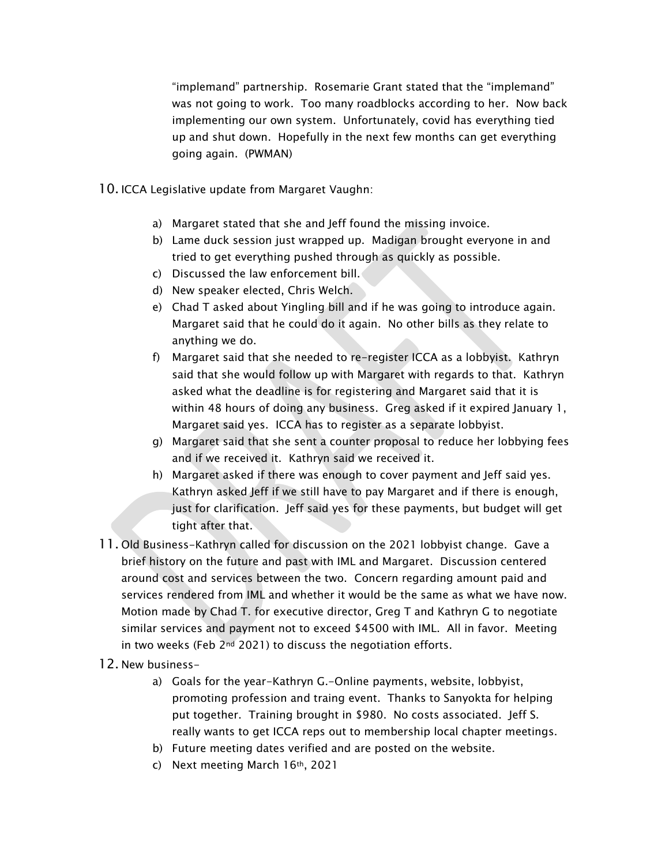"implemand" partnership. Rosemarie Grant stated that the "implemand" was not going to work. Too many roadblocks according to her. Now back implementing our own system. Unfortunately, covid has everything tied up and shut down. Hopefully in the next few months can get everything going again. (PWMAN)

- 10. ICCA Legislative update from Margaret Vaughn:
	- a) Margaret stated that she and Jeff found the missing invoice.
	- b) Lame duck session just wrapped up. Madigan brought everyone in and tried to get everything pushed through as quickly as possible.
	- c) Discussed the law enforcement bill.
	- d) New speaker elected, Chris Welch.
	- e) Chad T asked about Yingling bill and if he was going to introduce again. Margaret said that he could do it again. No other bills as they relate to anything we do.
	- f) Margaret said that she needed to re-register ICCA as a lobbyist. Kathryn said that she would follow up with Margaret with regards to that. Kathryn asked what the deadline is for registering and Margaret said that it is within 48 hours of doing any business. Greg asked if it expired January 1, Margaret said yes. ICCA has to register as a separate lobbyist.
	- g) Margaret said that she sent a counter proposal to reduce her lobbying fees and if we received it. Kathryn said we received it.
	- h) Margaret asked if there was enough to cover payment and Jeff said yes. Kathryn asked Jeff if we still have to pay Margaret and if there is enough, just for clarification. Jeff said yes for these payments, but budget will get tight after that.
- 11. Old Business-Kathryn called for discussion on the 2021 lobbyist change. Gave a brief history on the future and past with IML and Margaret. Discussion centered around cost and services between the two. Concern regarding amount paid and services rendered from IML and whether it would be the same as what we have now. Motion made by Chad T. for executive director, Greg T and Kathryn G to negotiate similar services and payment not to exceed \$4500 with IML. All in favor. Meeting in two weeks (Feb 2<sup>nd</sup> 2021) to discuss the negotiation efforts.
- 12. New business
	- a) Goals for the year-Kathryn G.-Online payments, website, lobbyist, promoting profession and traing event. Thanks to Sanyokta for helping put together. Training brought in \$980. No costs associated. Jeff S. really wants to get ICCA reps out to membership local chapter meetings.
	- b) Future meeting dates verified and are posted on the website.
	- c) Next meeting March 16th, 2021